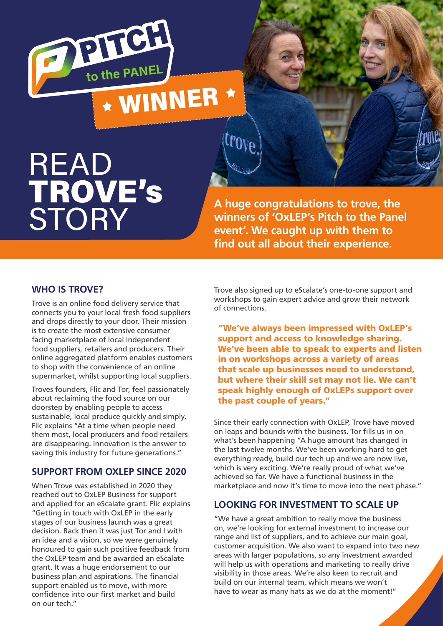

# READ TROVE's **STORY**

**A huge congratulations to trove, the winners of 'OxLEP's Pitch to the Panel event'. We caught up with them to find out all about their experience.** 

#### **WHO IS TROVE?**

Trove is an online food delivery service that connects you to your local fresh food suppliers and drops directly to your door. Their mission is to create the most extensive consumer facing marketplace of local independent food suppliers, retailers and producers. Their online aggregated platform enables customers to shop with the convenience of an online supermarket, whilst supporting local suppliers.

Troves founders, Flic and Tor, feel passionately about reclaiming the food source on our doorstep by enabling people to access sustainable, local produce quickly and simply. Flic explains "At a time when people need them most, local producers and food retailers are disappearing. Innovation is the answer to saving this industry for future generations."

## **SUPPORT FROM OXLEP SINCE 2020**

When Trove was established in 2020 they reached out to OxLEP Business for support and applied for an eScalate grant. Flic explains "Getting in touch with OxLEP in the early stages of our business launch was a great decision. Back then it was just Tor and I with an idea and a vision, so we were genuinely honoured to gain such positive feedback from the OxLEP team and be awarded an eScalate grant. It was a huge endorsement to our business plan and aspirations. The financial support enabled us to move, with more confidence into our first market and build on our tech."

Trove also signed up to eScalate's one-to-one support and workshops to gain expert advice and grow their network of connections.

"We've always been impressed with OxLEP's support and access to knowledge sharing. We've been able to speak to experts and listen in on workshops across a variety of areas that scale up businesses need to understand, but where their skill set may not lie. We can't speak highly enough of OxLEPs support over the past couple of years."

Since their early connection with OxLEP, Trove have moved on leaps and bounds with the business. Tor fills us in on what's been happening "A huge amount has changed in the last twelve months. We've been working hard to get everything ready, build our tech up and we are now live, which is very exciting. We're really proud of what we've achieved so far. We have a functional business in the marketplace and now it's time to move into the next phase."

## **LOOKING FOR INVESTMENT TO SCALE UP**

"We have a great ambition to really move the business on, we're looking for external investment to increase our range and list of suppliers, and to achieve our main goal, customer acquisition. We also want to expand into two new areas with larger populations, so any investment awarded will help us with operations and marketing to really drive visibility in those areas. We're also keen to recruit and build on our internal team, which means we won't have to wear as many hats as we do at the moment!"